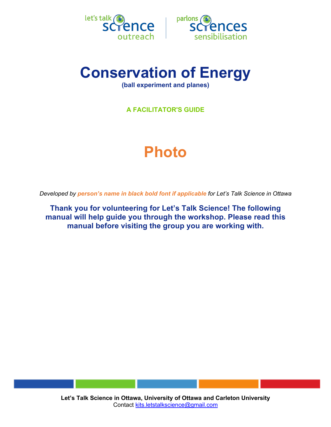



## **Conservation of Energy**

**(ball experiment and planes)**

**A FACILITATOR'S GUIDE**

# **Photo**

*Developed by person's name in black bold font if applicable for Let's Talk Science in Ottawa*

**Thank you for volunteering for Let's Talk Science! The following manual will help guide you through the workshop. Please read this manual before visiting the group you are working with.**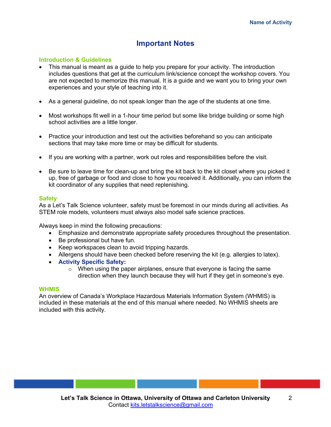## **Important Notes**

#### **Introduction & Guidelines**

- This manual is meant as a guide to help you prepare for your activity. The introduction includes questions that get at the curriculum link/science concept the workshop covers. You are not expected to memorize this manual. It is a guide and we want you to bring your own experiences and your style of teaching into it.
- As a general guideline, do not speak longer than the age of the students at one time.
- Most workshops fit well in a 1-hour time period but some like bridge building or some high school activities are a little longer.
- Practice your introduction and test out the activities beforehand so you can anticipate sections that may take more time or may be difficult for students.
- If you are working with a partner, work out roles and responsibilities before the visit.
- Be sure to leave time for clean-up and bring the kit back to the kit closet where you picked it up, free of garbage or food and close to how you received it. Additionally, you can inform the kit coordinator of any supplies that need replenishing.

#### **Safety**

As a Let's Talk Science volunteer, safety must be foremost in our minds during all activities. As STEM role models, volunteers must always also model safe science practices.

Always keep in mind the following precautions:

- Emphasize and demonstrate appropriate safety procedures throughout the presentation.
- Be professional but have fun.
- Keep workspaces clean to avoid tripping hazards.
- Allergens should have been checked before reserving the kit (e.g. allergies to latex).
- **Activity Specific Safety:**
	- o When using the paper airplanes, ensure that everyone is facing the same direction when they launch because they will hurt if they get in someone's eye.

#### **WHMIS**

An overview of Canada's Workplace Hazardous Materials Information System (WHMIS) is included in these materials at the end of this manual where needed. No WHMIS sheets are included with this activity.

2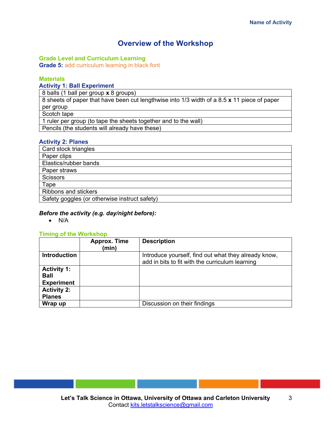## **Overview of the Workshop**

#### **Grade Level and Curriculum Learning**

**Grade 5:** add curriculum learning in black font

#### **Materials**

#### **Activity 1: Ball Experiment**

8 balls (1 ball per group **x** 8 groups)

8 sheets of paper that have been cut lengthwise into 1/3 width of a 8.5 **x** 11 piece of paper per group

Scotch tape

1 ruler per group (to tape the sheets together and to the wall)

Pencils (the students will already have these)

#### **Activity 2: Planes**

| Card stock triangles                          |  |  |
|-----------------------------------------------|--|--|
| Paper clips                                   |  |  |
| Elastics/rubber bands                         |  |  |
| Paper straws                                  |  |  |
| <b>Scissors</b>                               |  |  |
| Tape                                          |  |  |
| Ribbons and stickers                          |  |  |
| Safety goggles (or otherwise instruct safety) |  |  |

#### *Before the activity (e.g. day/night before):*

• N/A

#### **Timing of the Workshop**

|                                                        | <b>Approx. Time</b><br>(min) | <b>Description</b>                                                                                      |
|--------------------------------------------------------|------------------------------|---------------------------------------------------------------------------------------------------------|
| <b>Introduction</b>                                    |                              | Introduce yourself, find out what they already know,<br>add in bits to fit with the curriculum learning |
| <b>Activity 1:</b><br><b>Ball</b><br><b>Experiment</b> |                              |                                                                                                         |
| <b>Activity 2:</b><br><b>Planes</b>                    |                              |                                                                                                         |
| Wrap up                                                |                              | Discussion on their findings                                                                            |

3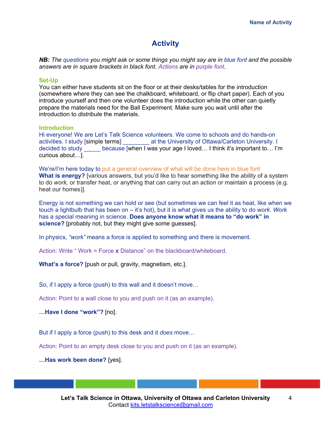## **Activity**

*NB: The questions you might ask or some things you might say are in blue font and the possible answers are in square brackets in black font. Actions are in purple font.*

#### **Set-Up**

You can either have students sit on the floor or at their desks/tables for the introduction (somewhere where they can see the chalkboard, whiteboard, or flip chart paper). Each of you introduce yourself and then one volunteer does the introduction while the other can quietly prepare the materials need for the Ball Experiment. Make sure you wait until after the introduction to *distribute* the materials.

#### **Introduction**

Hi everyone! We are Let's Talk Science volunteers. We come to schools and do hands-on activities. I study [simple terms] \_\_\_\_\_\_\_\_ at the University of Ottawa/Carleton University. I decided to study because [when I was your age I loved... I think it's important to... I'm curious about…].

We're/I'm here today to put a general overview of what will be done here in blue font **What is energy?** [various answers, but you'd like to hear something like the ability of a system to do *work,* or transfer heat, or anything that can carry out an action or maintain a process (e.g. heat our homes)].

Energy is not something we can hold or see (but sometimes we can feel it as heat, like when we touch a lightbulb that has been on – it's hot), but it is what gives us the ability to do *work*. *Work* has a special meaning in science. **Does anyone know what it means to "do work" in science?** [probably not, but they might give some guesses].

In physics, *"work"* means a force is applied to something and there is movement.

Action: Write " Work = Force **x** Distance" on the blackboard/whiteboard.

**What's a force?** [push or pull, gravity, magnetism, etc.].

So, if I apply a force (push) to this wall and it doesn't move…

Action: Point to a wall close to you and push on it (as an example).

**…Have I done "work"?** [no].

But if I apply a force (push) to this desk and it *does* move…

Action: Point to an empty desk close to you and push on it (as an example).

**…Has work been done?** [yes].

4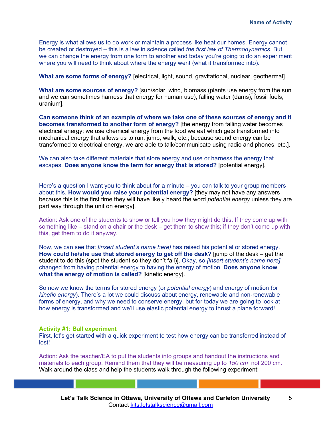Energy is what allows us to do work or maintain a process like heat our homes. Energy cannot be created or destroyed – this is a law in science called *the first law of Thermodynamics*. But, we can change the energy from one form to another and today you're going to do an experiment where you will need to think about where the energy went (what it transformed into).

**What are some forms of energy?** [electrical, light, sound, gravitational, nuclear, geothermal].

**What are some sources of energy?** [sun/solar, wind, biomass (plants use energy from the sun and we can sometimes harness that energy for human use), falling water (dams), fossil fuels, uranium].

**Can someone think of an example of where we take one of these sources of energy and it becomes transformed to another form of energy?** [the energy from falling water becomes electrical energy; we use chemical energy from the food we eat which gets transformed into mechanical energy that allows us to run, jump, walk, etc.; because sound energy can be transformed to electrical energy, we are able to talk/communicate using radio and phones; etc.].

We can also take different materials that store energy and use or harness the energy that escapes. **Does anyone know the term for energy that is stored?** [potential energy].

Here's a question I want you to think about for a minute – you can talk to your group members about this. **How would you raise your potential energy?** [they may not have any answers because this is the first time they will have likely heard the word *potential energy* unless they are part way through the unit on energy].

Action: Ask one of the students to show or tell you how they might do this. If they come up with something like – stand on a chair or the desk – get them to show this; if they don't come up with this, get them to do it anyway.

Now, we can see that *[insert student's name here]* has raised his potential or stored energy. **How could he/she use that stored energy to get off the desk?** [jump of the desk – get the student to do this (spot the student so they don't fall)]. Okay, so *[insert student's name here]* changed from having potential energy to having the energy of motion. **Does anyone know what the energy of motion is called?** [kinetic energy].

So now we know the terms for stored energy (or *potential energy*) and energy of motion (or *kinetic energy*). There's a lot we could discuss about energy, renewable and non-renewable forms of energy, and why we need to conserve energy, but for today we are going to look at how energy is transformed and we'll use elastic potential energy to thrust a plane forward!

#### **Activity #1: Ball experiment**

First, let's get started with a quick experiment to test how energy can be transferred instead of lost!

Action: Ask the teacher/EA to put the students into groups and handout the instructions and materials to each group. Remind them that they will be measuring up to *150 cm* not 200 cm. Walk around the class and help the students walk through the following experiment: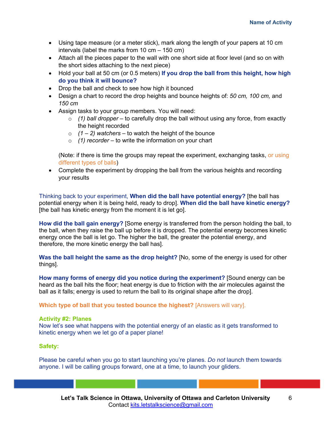- Using tape measure (or a meter stick), mark along the length of your papers at 10 cm intervals (label the marks from 10 cm – 150 cm)
- Attach all the pieces paper to the wall with one short side at floor level (and so on with the short sides attaching to the next piece)
- Hold your ball at 50 cm (or 0.5 meters) **If you drop the ball from this height, how high do you think it will bounce?**
- Drop the ball and check to see how high it bounced
- Design a chart to record the drop heights and bounce heights of: *50 cm, 100 cm,* and *150 cm*
- Assign tasks to your group members. You will need:
	- o *(1) ball dropper* to carefully drop the ball without using any force, from exactly the height recorded
	- $(1 2)$  *watchers* to watch the height of the bounce
	- o *(1) recorder* to write the information on your chart

(Note: if there is time the groups may repeat the experiment, exchanging tasks, or using different types of balls)

• Complete the experiment by dropping the ball from the various heights and recording your results

Thinking back to your experiment, **When did the ball have potential energy?** [the ball has potential energy when it is being held, ready to drop]. **When did the ball have kinetic energy?**  [the ball has kinetic energy from the moment it is let go].

**How did the ball gain energy?** [Some energy is transferred from the person holding the ball, to the ball, when they raise the ball up before it is dropped. The potential energy becomes kinetic energy once the ball is let go. The higher the ball, the greater the potential energy, and therefore, the more kinetic energy the ball has].

Was the ball height the same as the drop height? [No, some of the energy is used for other things].

**How many forms of energy did you notice during the experiment?** [Sound energy can be heard as the ball hits the floor; heat energy is due to friction with the air molecules against the ball as it falls; energy is used to return the ball to its original shape after the drop].

**Which type of ball that you tested bounce the highest?** [Answers will vary].

#### **Activity #2: Planes**

Now let's see what happens with the potential energy of an elastic as it gets transformed to kinetic energy when we let go of a paper plane!

#### **Safety:**

Please be careful when you go to start launching you're planes. *Do not* launch them towards anyone. I will be calling groups forward, one at a time, to launch your gliders.